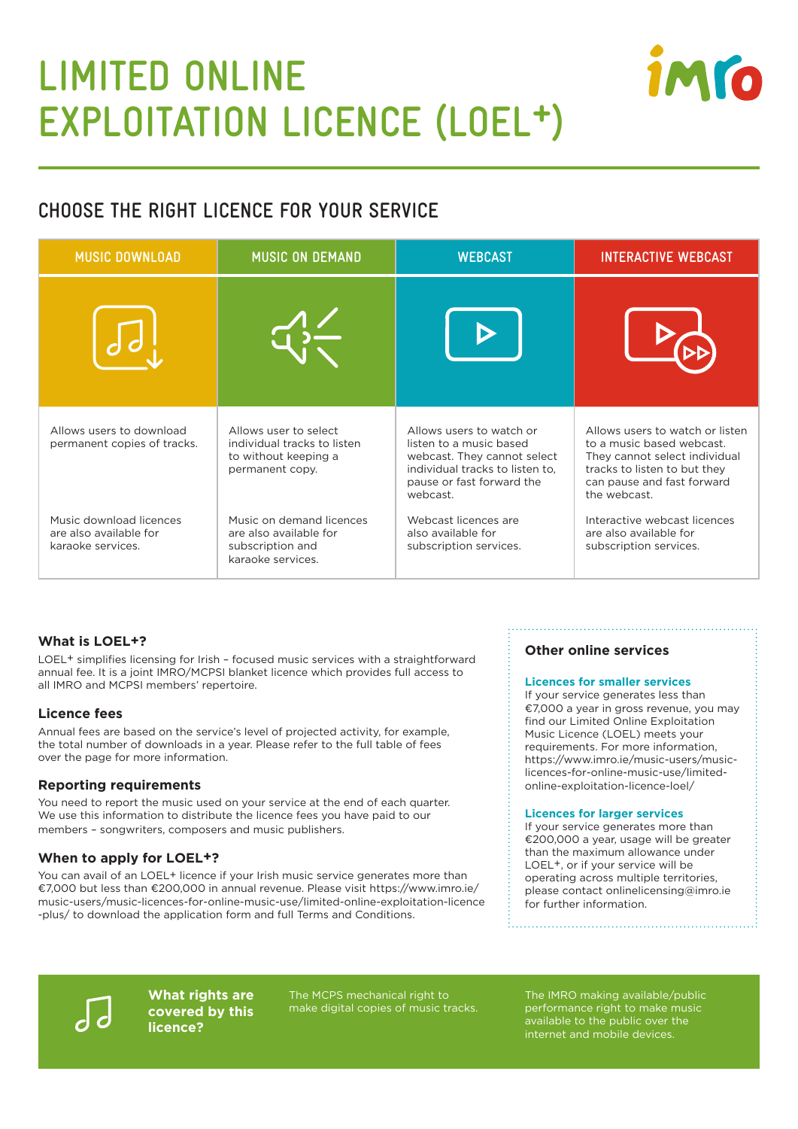# **LIMITED ONLINE EXPLOITATION LICENCE (LOEL+)**



| <b>MUSIC DOWNLOAD</b>                                                  | <b>MUSIC ON DEMAND</b>                                                                          | <b>WEBCAST</b>                                                                                                                                                 | <b>INTERACTIVE WEBCAST</b>                                                                                                                                                  |
|------------------------------------------------------------------------|-------------------------------------------------------------------------------------------------|----------------------------------------------------------------------------------------------------------------------------------------------------------------|-----------------------------------------------------------------------------------------------------------------------------------------------------------------------------|
|                                                                        |                                                                                                 |                                                                                                                                                                |                                                                                                                                                                             |
| Allows users to download<br>permanent copies of tracks.                | Allows user to select<br>individual tracks to listen<br>to without keeping a<br>permanent copy. | Allows users to watch or<br>listen to a music based<br>webcast. They cannot select<br>individual tracks to listen to,<br>pause or fast forward the<br>webcast. | Allows users to watch or listen<br>to a music based webcast.<br>They cannot select individual<br>tracks to listen to but they<br>can pause and fast forward<br>the webcast. |
| Music download licences<br>are also available for<br>karaoke services. | Music on demand licences<br>are also available for<br>subscription and<br>karaoke services.     | Webcast licences are<br>also available for<br>subscription services.                                                                                           | Interactive webcast licences<br>are also available for<br>subscription services.                                                                                            |

## **What is LOEL+?**

LOEL+ simplifies licensing for Irish – focused music services with a straightforward annual fee. It is a joint IMRO/MCPSI blanket licence which provides full access to all IMRO and MCPSI members' repertoire.

## **Licence fees**

Annual fees are based on the service's level of projected activity, for example, the total number of downloads in a year. Please refer to the full table of fees over the page for more information.

## **Reporting requirements**

You need to report the music used on your service at the end of each quarter. We use this information to distribute the licence fees you have paid to our members – songwriters, composers and music publishers.

## **When to apply for LOEL+?**

You can avail of an LOEL+ licence if your Irish music service generates more than €7,000 but less than €200,000 in annual revenue. Please visit https://www.imro.ie/ music-users/music-licences-for-online-music-use/limited-online-exploitation-licence -plus/ to download the application form and full Terms and Conditions.

## **Other online services**

#### **Licences for smaller services**

If your service generates less than €7,000 a year in gross revenue, you may find our Limited Online Exploitation Music Licence (LOEL) meets your requirements. For more information, https://www.imro.ie/music-users/musiclicences-for-online-music-use/limitedonline-exploitation-licence-loel/

#### **Licences for larger services**

If your service generates more than €200,000 a year, usage will be greater than the maximum allowance under LOEL+, or if your service will be operating across multiple territories, please contact onlinelicensing@imro.ie for further information.



**What rights are covered by this licence?**

The MCPS mechanical right to make digital copies of music tracks. The IMRO making available/public performance right to make music available to the public over the